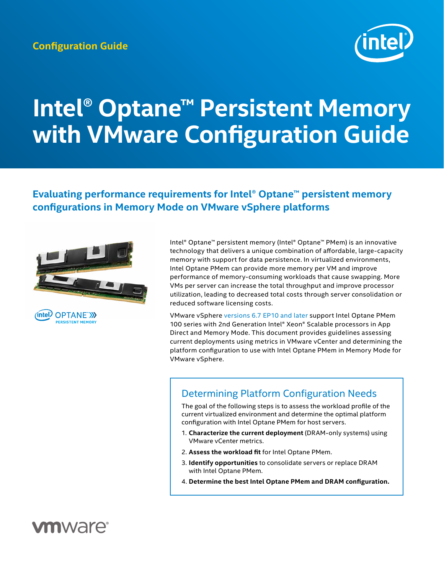

# **Intel® Optane™ Persistent Memory with VMware Configuration Guide**

## **Evaluating performance requirements for Intel® Optane™ persistent memory configurations in Memory Mode on VMware vSphere platforms**



Intel® Optane™ persistent memory (Intel® Optane™ PMem) is an innovative technology that delivers a unique combination of affordable, large-capacity memory with support for data persistence. In virtualized environments, Intel Optane PMem can provide more memory per VM and improve performance of memory-consuming workloads that cause swapping. More VMs per server can increase the total throughput and improve processor utilization, leading to decreased total costs through server consolidation or reduced software licensing costs.

VMware vSphere [versions 6.7 EP10 and later](https://kb.vmware.com/s/article/67645) support Intel Optane PMem 100 series with 2nd Generation Intel® Xeon® Scalable processors in App Direct and Memory Mode. This document provides guidelines assessing current deployments using metrics in VMware vCenter and determining the platform configuration to use with Intel Optane PMem in Memory Mode for VMware vSphere.

# <span id="page-0-0"></span>Determining Platform Configuration Needs

The goal of the following steps is to assess the workload profile of the current virtualized environment and determine the optimal platform configuration with Intel Optane PMem for host servers.

- 1. **Characterize the current deployment** (DRAM-only systems) using VMware vCenter metrics.
- 2. **Assess the workload fit** for Intel Optane PMem.
- 3. **Identify opportunities** to consolidate servers or replace DRAM with Intel Optane PMem.
- 4. **Determine the best Intel Optane PMem and DRAM configuration.**

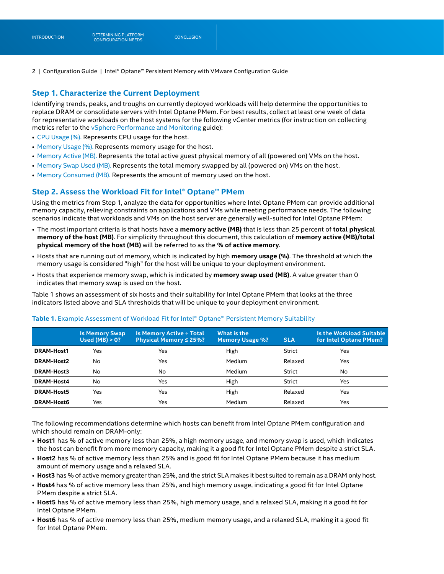#### **Step 1. Characterize the Current Deployment**

Identifying trends, peaks, and troughs on currently deployed workloads will help determine the opportunities to replace DRAM or consolidate servers with Intel Optane PMem. For best results, collect at least one week of data for representative workloads on the host systems for the following vCenter metrics (for instruction on collecting metrics refer to the [vSphere Performance and Monitoring](https://docs.vmware.com/en/VMware-vSphere/7.0/vsphere-esxi-vcenter-server-70-monitoring-performance-guide.pdf) guide):

- [CPU Usage \(%\).](https://docs.vmware.com/en/VMware-vSphere/7.0/com.vmware.vsphere.monitoring.doc/GUID-A6DA012E-D0CE-478B-9525-8B4703813542.html) Represents CPU usage for the host.
- [Memory Usage \(%\).](https://docs.vmware.com/en/VMware-vSphere/7.0/com.vmware.vsphere.monitoring.doc/GUID-8E94E0DB-2067-4087-88EA-84B996E74DB3.html) Represents memory usage for the host.
- [Memory Active \(MB\).](https://docs.vmware.com/en/VMware-vSphere/7.0/com.vmware.vsphere.monitoring.doc/GUID-52DE054B-62E0-45E0-A0B6-456E89CF285F.html) Represents the total active guest physical memory of all (powered on) VMs on the host.
- [Memory Swap Used \(MB\). R](https://docs.vmware.com/en/VMware-vSphere/7.0/com.vmware.vsphere.monitoring.doc/GUID-52DE054B-62E0-45E0-A0B6-456E89CF285F.html)epresents the total memory swapped by all (powered on) VMs on the host.
- [Memory Consumed \(MB\).](https://docs.vmware.com/en/VMware-vSphere/7.0/com.vmware.vsphere.monitoring.doc/GUID-52DE054B-62E0-45E0-A0B6-456E89CF285F.html) Represents the amount of memory used on the host.

#### **Step 2. Assess the Workload Fit for Intel® Optane™ PMem**

Using the metrics from Step 1, analyze the data for opportunities where Intel Optane PMem can provide additional memory capacity, relieving constraints on applications and VMs while meeting performance needs. The following scenarios indicate that workloads and VMs on the host server are generally well-suited for Intel Optane PMem:

- The most important criteria is that hosts have a **memory active (MB)** that is less than 25 percent of **total physical memory of the host (MB)**. For simplicity throughout this document, this calculation of **memory active (MB)/total physical memory of the host (MB)** will be referred to as the **% of active memory**.
- Hosts that are running out of memory, which is indicated by high **memory usage (%)**. The threshold at which the memory usage is considered "high" for the host will be unique to your deployment environment.
- Hosts that experience memory swap, which is indicated by **memory swap used (MB)**. A value greater than 0 indicates that memory swap is used on the host.

Table 1 shows an assessment of six hosts and their suitability for Intel Optane PMem that looks at the three indicators listed above and SLA thresholds that will be unique to your deployment environment.

|                   | <b>Is Memory Swap</b><br>Used (MB) $> 0$ ? | <b>Is Memory Active ÷ Total</b><br>Physical Memory ≤ 25%? | What is the<br><b>Memory Usage %?</b> | <b>SLA</b> | Is the Workload Suitable<br>for Intel Optane PMem? |
|-------------------|--------------------------------------------|-----------------------------------------------------------|---------------------------------------|------------|----------------------------------------------------|
| <b>DRAM-Host1</b> | Yes                                        | Yes                                                       | High                                  | Strict     | Yes                                                |
| <b>DRAM-Host2</b> | No                                         | Yes                                                       | Medium                                | Relaxed    | Yes                                                |
| DRAM-Host3        | No                                         | No                                                        | Medium                                | Strict     | No                                                 |
| <b>DRAM-Host4</b> | No                                         | Yes                                                       | High                                  | Strict     | Yes                                                |
| <b>DRAM-Host5</b> | Yes                                        | Yes                                                       | High                                  | Relaxed    | Yes                                                |
| <b>DRAM-Host6</b> | Yes                                        | Yes                                                       | Medium                                | Relaxed    | Yes                                                |

#### **Table 1.** Example Assessment of Workload Fit for Intel® Optane™ Persistent Memory Suitability

The following recommendations determine which hosts can benefit from Intel Optane PMem configuration and which should remain on DRAM-only:

- **Host1** has % of active memory less than 25%, a high memory usage, and memory swap is used, which indicates the host can benefit from more memory capacity, making it a good fit for Intel Optane PMem despite a strict SLA.
- **Host2** has % of active memory less than 25% and is good fit for Intel Optane PMem because it has medium amount of memory usage and a relaxed SLA.
- **Host3** has % of active memory greater than 25%, and the strict SLA makes it best suited to remain as a DRAM only host.
- **Host4** has % of active memory less than 25%, and high memory usage, indicating a good fit for Intel Optane PMem despite a strict SLA.
- **Host5** has % of active memory less than 25%, high memory usage, and a relaxed SLA, making it a good fit for Intel Optane PMem.
- **Host6** has % of active memory less than 25%, medium memory usage, and a relaxed SLA, making it a good fit for Intel Optane PMem.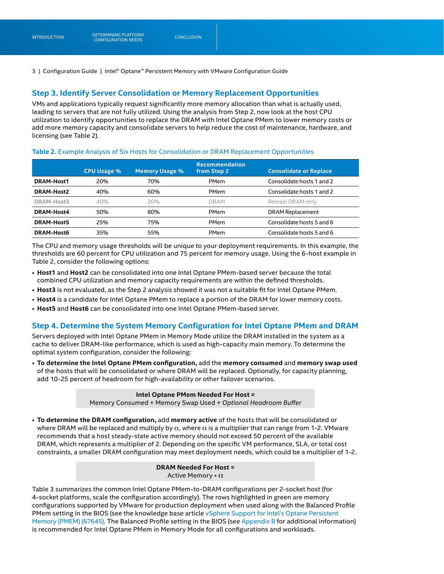#### **Step 3. Identify Server Consolidation or Memory Replacement Opportunities**

VMs and applications typically request significantly more memory allocation than what is actually used, leading to servers that are not fully utilized. Using the analysis from Step 2, now look at the host CPU utilization to identify opportunities to replace the DRAM with Intel Optane PMem to lower memory costs or add more memory capacity and consolidate servers to help reduce the cost of maintenance, hardware, and licensing (see Table 2).

#### **Table 2.** Example Analysis of Six Hosts for Consolidation or DRAM Replacement Opportunities

|                   | <b>CPU Usage %</b> | <b>Memory Usage %</b> | <b>Recommendation</b><br>from Step 2 | <b>Consolidate or Replace</b> |
|-------------------|--------------------|-----------------------|--------------------------------------|-------------------------------|
| <b>DRAM-Host1</b> | 20%                | 70%                   | <b>PMem</b>                          | Consolidate hosts 1 and 2     |
| <b>DRAM-Host2</b> | 40%                | 60%                   | PMem                                 | Consolidate hosts 1 and 2     |
| DRAM-Host3        | 40%                | 20%                   | <b>DRAM</b>                          | Remain DRAM only              |
| <b>DRAM-Host4</b> | 50%                | 80%                   | <b>PMem</b>                          | <b>DRAM Replacement</b>       |
| <b>DRAM-Host5</b> | 25%                | 75%                   | <b>PMem</b>                          | Consolidate hosts 5 and 6     |
| <b>DRAM-Host6</b> | 35%                | 55%                   | <b>PMem</b>                          | Consolidate hosts 5 and 6     |

The CPU and memory usage thresholds will be unique to your deployment requirements. In this example, the thresholds are 60 percent for CPU utilization and 75 percent for memory usage. Using the 6-host example in Table 2, consider the following options:

- **Host1** and **Host2** can be consolidated into one Intel Optane PMem-based server because the total combined CPU utilization and memory capacity requirements are within the defined thresholds.
- **Host3** is not evaluated, as the Step 2 analysis showed it was not a suitable fit for Intel Optane PMem.
- **Host4** is a candidate for Intel Optane PMem to replace a portion of the DRAM for lower memory costs.
- **Host5** and **Host6** can be consolidated into one Intel Optane PMem-based server.

#### **Step 4. Determine the System Memory Configuration for Intel Optane PMem and DRAM**

Servers deployed with Intel Optane PMem in Memory Mode utilize the DRAM installed in the system as a cache to deliver DRAM-like performance, which is used as high-capacity main memory. To determine the optimal system configuration, consider the following:

• **To determine the Intel Optane PMem configuration,** add the **memory consumed** and **memory swap used**  of the hosts that will be consolidated or where DRAM will be replaced. Optionally, for capacity planning, add 10-25 percent of headroom for high-availability or other failover scenarios.

#### **Intel Optane PMem Needed For Host =**

Memory Consumed + Memory Swap Used + *Optional Headroom Buffer*

• **To determine the DRAM configuration,** add **memory active** of the hosts that will be consolidated or where DRAM will be replaced and multiply by  $\alpha$ , where  $\alpha$  is a multiplier that can range from 1-2. VMware recommends that a host steady-state active memory should not exceed 50 percent of the available DRAM, which represents a multiplier of 2. Depending on the specific VM performance, SLA, or total cost constraints, a smaller DRAM configuration may meet deployment needs, which could be a multiplier of 1-2.

> **DRAM Needed For Host =**  Active Memory \* α

Table 3 summarizes the common Intel Optane PMem-to-DRAM configurations per 2-socket host (for 4-socket platforms, scale the configuration accordingly). The rows highlighted in green are memory configurations supported by VMware for production deployment when used along with the Balanced Profile PMem setting in the BIOS (see the knowledge base article vSphere Support for Intel's Optane Persistent [Memory \(PMEM\) \(67645\).](https://kb.vmware.com/s/article/67645) The Balanced Profile setting in the BIOS (see [Appendix B](#page-4-0) for additional information) is recommended for Intel Optane PMem in Memory Mode for all configurations and workloads.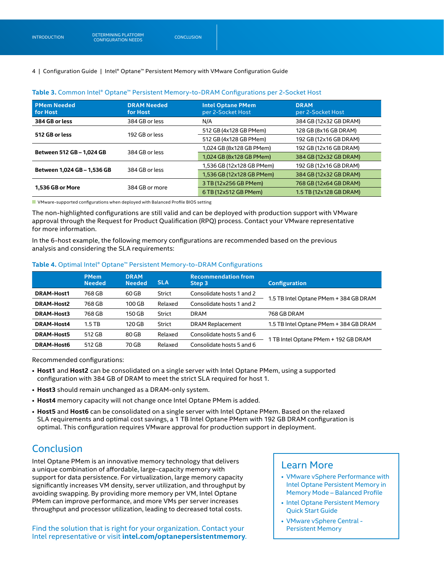#### **PMem Needed for Host DRAM Needed for Host Intel Optane PMem**  per 2-Socket Host **DRAM**  per 2-Socket Host **384 GB or less** 384 GB or less N/A 384 GB (12x32 GB DRAM) **512 GB or less** 192 GB or less 512 GB (4x128 GB PMem) 128 GB (8x16 GB DRAM) 192 GB (12x16 GB DRAM) **Between 512 GB – 1,024 GB** 384 GB or less 1,024 GB (8x128 GB PMem) 192 GB (12x16 GB DRAM)<br>1,024 GB (8x128 GB PMem) 384 GB (12x32 GB DRAM) 1,024 GB (8x128 GB PMem) **Between 1,024 GB – 1,536 GB** 384 GB or less 1,536 GB (12x128 GB PMem) 192 GB (12x16 GB DRAM) 192 GB DRAM) 1,536 GB (12x128 GB PMem) 384 GB (12x32 GB DRAM) 1,536 GB (12x128 GB PMem) **1,536 GB or More** 384 GB or more 3 TB (12x256 GB PMem) 3 TB (12x512 GB OR AM)<br>
3 TB (12x512 GB PMem) 3 TB (12x128 GB DRAM) 1.5 TB (12x128 GB DRAM)

#### **Table 3.** Common Intel® Optane™ Persistent Memory-to-DRAM Configurations per 2-Socket Host

VMware-supported configurations when deployed with Balanced Profile BIOS setting

The non-highlighted configurations are still valid and can be deployed with production support with VMware approval through the Request for Product Qualification (RPQ) process. Contact your VMware representative for more information.

In the 6-host example, the following memory configurations are recommended based on the previous analysis and considering the SLA requirements:

#### **Table 4.** Optimal Intel® Optane™ Persistent Memory-to-DRAM Configurations

|                   | <b>PMem</b><br><b>Needed</b> | <b>DRAM</b><br><b>Needed</b> | <b>SLA</b> | <b>Recommendation from</b><br>Step 3 | <b>Configuration</b>                   |
|-------------------|------------------------------|------------------------------|------------|--------------------------------------|----------------------------------------|
| DRAM-Host1        | 768 GB                       | 60 GB                        | Strict     | Consolidate hosts 1 and 2            | 1.5 TB Intel Optane PMem + 384 GB DRAM |
| DRAM-Host2        | 768 GB                       | 100 GB                       | Relaxed    | Consolidate hosts 1 and 2            |                                        |
| DRAM-Host3        | 768 GB                       | 150 GB                       | Strict     | <b>DRAM</b>                          | 768 GB DRAM                            |
| <b>DRAM-Host4</b> | $1.5$ TB                     | 120 GB                       | Strict     | DRAM Replacement                     | 1.5 TB Intel Optane PMem + 384 GB DRAM |
| <b>DRAM-Host5</b> | 512 GB                       | 80 GB                        | Relaxed    | Consolidate hosts 5 and 6            | 1 TB Intel Optane PMem + 192 GB DRAM   |
| DRAM-Host6        | 512 GB                       | 70 GB                        | Relaxed    | Consolidate hosts 5 and 6            |                                        |

Recommended configurations:

- **Host1** and **Host2** can be consolidated on a single server with Intel Optane PMem, using a supported configuration with 384 GB of DRAM to meet the strict SLA required for host 1.
- **Host3** should remain unchanged as a DRAM-only system.
- **Host4** memory capacity will not change once Intel Optane PMem is added.
- **Host5** and **Host6** can be consolidated on a single server with Intel Optane PMem. Based on the relaxed SLA requirements and optimal cost savings, a 1 TB Intel Optane PMem with 192 GB DRAM configuration is optimal. This configuration requires VMware approval for production support in deployment.

## **Conclusion**

Intel Optane PMem is an innovative memory technology that delivers a unique combination of affordable, large-capacity memory with support for data persistence. For virtualization, large memory capacity significantly increases VM density, server utilization, and throughput by avoiding swapping. By providing more memory per VM, Intel Optane PMem can improve performance, and more VMs per server increases throughput and processor utilization, leading to decreased total costs.

Find the solution that is right for your organization. Contact your Intel representative or visit **[intel.com/optanepersistentmemory](http://intel.com/optanepersistentmemory)**.

### Learn More

- [VMware vSphere Performance with](https://www.vmware.com/content/dam/digitalmarketing/vmware/en/pdf/techpaper/performance/pmem-balanced-profile-perf.pdf)  [Intel Optane Persistent Memory in](https://www.vmware.com/content/dam/digitalmarketing/vmware/en/pdf/techpaper/performance/pmem-balanced-profile-perf.pdf)  [Memory Mode – Balanced Profile](https://www.vmware.com/content/dam/digitalmarketing/vmware/en/pdf/techpaper/performance/pmem-balanced-profile-perf.pdf)
- [Intel Optane Persistent Memory](https://www.intel.com/content/dam/support/us/en/documents/memory-and-storage/data-center-persistent-mem/Intel-Optane-DC-Persistent-Memory-Quick-Start-Guide.pdf)  [Quick Start Guide](https://www.intel.com/content/dam/support/us/en/documents/memory-and-storage/data-center-persistent-mem/Intel-Optane-DC-Persistent-Memory-Quick-Start-Guide.pdf)
- [VMware vSphere Central](https://vspherecentral.vmware.com/t/persistent-memory-pmem/)  [Persistent Memory](https://vspherecentral.vmware.com/t/persistent-memory-pmem/)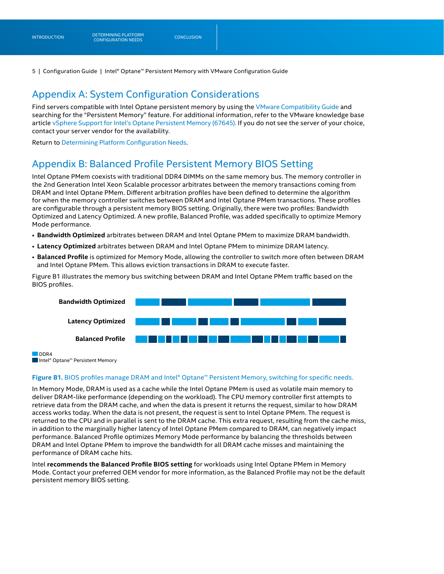## Appendix A: System Configuration Considerations

Find servers compatible with Intel Optane persistent memory by using the [VMware Compatibility Guide](https://www.vmware.com/resources/compatibility/search.php) and searching for the "Persistent Memory" feature. For additional information, refer to the VMware knowledge base article [vSphere Support for Intel's Optane Persistent Memory \(67645\).](https://kb.vmware.com/s/article/67645) If you do not see the server of your choice, contact your server vendor for the availability.

Return to [Determining Platform Configuration Needs](#page-0-0).

## <span id="page-4-0"></span>Appendix B: Balanced Profile Persistent Memory BIOS Setting

Intel Optane PMem coexists with traditional DDR4 DIMMs on the same memory bus. The memory controller in the 2nd Generation Intel Xeon Scalable processor arbitrates between the memory transactions coming from DRAM and Intel Optane PMem. Different arbitration profiles have been defined to determine the algorithm for when the memory controller switches between DRAM and Intel Optane PMem transactions. These profiles are configurable through a persistent memory BIOS setting. Originally, there were two profiles: Bandwidth Optimized and Latency Optimized. A new profile, Balanced Profile, was added specifically to optimize Memory Mode performance.

- **Bandwidth Optimized** arbitrates between DRAM and Intel Optane PMem to maximize DRAM bandwidth.
- **Latency Optimized** arbitrates between DRAM and Intel Optane PMem to minimize DRAM latency.
- **Balanced Profile** is optimized for Memory Mode, allowing the controller to switch more often between DRAM and Intel Optane PMem. This allows eviction transactions in DRAM to execute faster.

Figure B1 illustrates the memory bus switching between DRAM and Intel Optane PMem traffic based on the BIOS profiles.



DDR4 ■Intel® Optane™ Persistent Memory

#### **Figure B1.** BIOS profiles manage DRAM and Intel® Optane™ Persistent Memory, switching for specific needs.

In Memory Mode, DRAM is used as a cache while the Intel Optane PMem is used as volatile main memory to deliver DRAM-like performance (depending on the workload). The CPU memory controller first attempts to retrieve data from the DRAM cache, and when the data is present it returns the request, similar to how DRAM access works today. When the data is not present, the request is sent to Intel Optane PMem. The request is returned to the CPU and in parallel is sent to the DRAM cache. This extra request, resulting from the cache miss, in addition to the marginally higher latency of Intel Optane PMem compared to DRAM, can negatively impact performance. Balanced Profile optimizes Memory Mode performance by balancing the thresholds between DRAM and Intel Optane PMem to improve the bandwidth for all DRAM cache misses and maintaining the performance of DRAM cache hits.

Intel **recommends the Balanced Profile BIOS setting** for workloads using Intel Optane PMem in Memory Mode. Contact your preferred OEM vendor for more information, as the Balanced Profile may not be the default persistent memory BIOS setting.